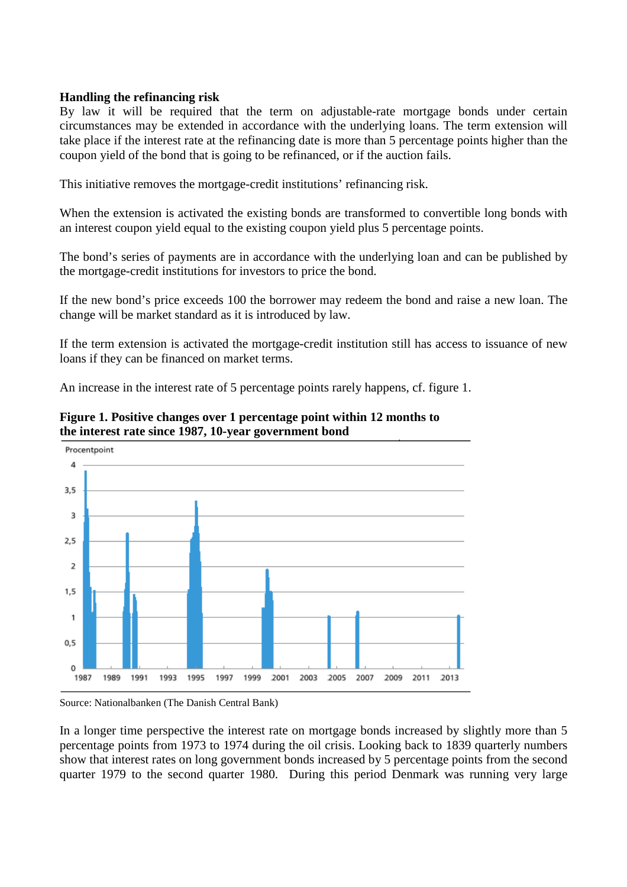## **Handling the refinancing risk**

By law it will be required that the term on adjustable-rate mortgage bonds under certain circumstances may be extended in accordance with the underlying loans. The term extension will take place if the interest rate at the refinancing date is more than 5 percentage points higher than the coupon yield of the bond that is going to be refinanced, or if the auction fails.

This initiative removes the mortgage-credit institutions' refinancing risk.

When the extension is activated the existing bonds are transformed to convertible long bonds with an interest coupon yield equal to the existing coupon yield plus 5 percentage points.

The bond's series of payments are in accordance with the underlying loan and can be published by the mortgage-credit institutions for investors to price the bond.

If the new bond's price exceeds 100 the borrower may redeem the bond and raise a new loan. The change will be market standard as it is introduced by law.

If the term extension is activated the mortgage-credit institution still has access to issuance of new loans if they can be financed on market terms.

An increase in the interest rate of 5 percentage points rarely happens, cf. figure 1.



**Figure 1. Positive changes over 1 percentage point within 12 months to the interest rate since 1987, 10-year government bond** 

Source: Nationalbanken (The Danish Central Bank)

In a longer time perspective the interest rate on mortgage bonds increased by slightly more than 5 percentage points from 1973 to 1974 during the oil crisis. Looking back to 1839 quarterly numbers show that interest rates on long government bonds increased by 5 percentage points from the second quarter 1979 to the second quarter 1980. During this period Denmark was running very large